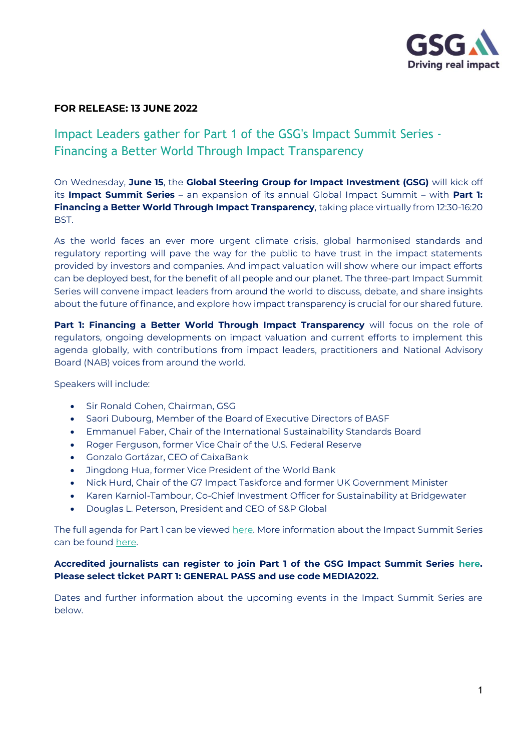

# **FOR RELEASE: 13 JUNE 2022**

# Impact Leaders gather for Part 1 of the GSG's Impact Summit Series - Financing a Better World Through Impact Transparency

On Wednesday, **June 15**, the **Global Steering Group for Impact Investment (GSG)** will kick off its **Impact Summit Series** – an expansion of its annual Global Impact Summit – with **Part 1: Financing a Better World Through Impact Transparency**, taking place virtually from 12:30-16:20 BST.

As the world faces an ever more urgent climate crisis, global harmonised standards and regulatory reporting will pave the way for the public to have trust in the impact statements provided by investors and companies. And impact valuation will show where our impact efforts can be deployed best, for the benefit of all people and our planet. The three-part Impact Summit Series will convene impact leaders from around the world to discuss, debate, and share insights about the future of finance, and explore how impact transparency is crucial for our shared future.

**Part 1: Financing a Better World Through Impact Transparency** will focus on the role of regulators, ongoing developments on impact valuation and current efforts to implement this agenda globally, with contributions from impact leaders, practitioners and National Advisory Board (NAB) voices from around the world.

Speakers will include:

- Sir Ronald Cohen, Chairman, GSG
- Saori Dubourg, Member of the Board of Executive Directors of BASF
- Emmanuel Faber, Chair of the International Sustainability Standards Board
- Roger Ferguson, former Vice Chair of the U.S. Federal Reserve
- Gonzalo Gortázar, CEO of CaixaBank
- Jingdong Hua, former Vice President of the World Bank
- Nick Hurd, Chair of the G7 Impact Taskforce and former UK Government Minister
- Karen Karniol-Tambour, Co-Chief Investment Officer for Sustainability at Bridgewater
- Douglas L. Peterson, President and CEO of S&P Global

The full agenda for Part 1 can be viewe[d here.](https://events.hubilo.com/gsg-impact-summit-series/register) More information about the Impact Summit Series can be found [here.](https://gsgii.org/impact-summit-series-2022/)

### **Accredited journalists can register to join Part 1 of the GSG Impact Summit Series [here.](https://events.hubilo.com/gsg-impact-summit-series/register) Please select ticket PART 1: GENERAL PASS and use code MEDIA2022.**

Dates and further information about the upcoming events in the Impact Summit Series are below.